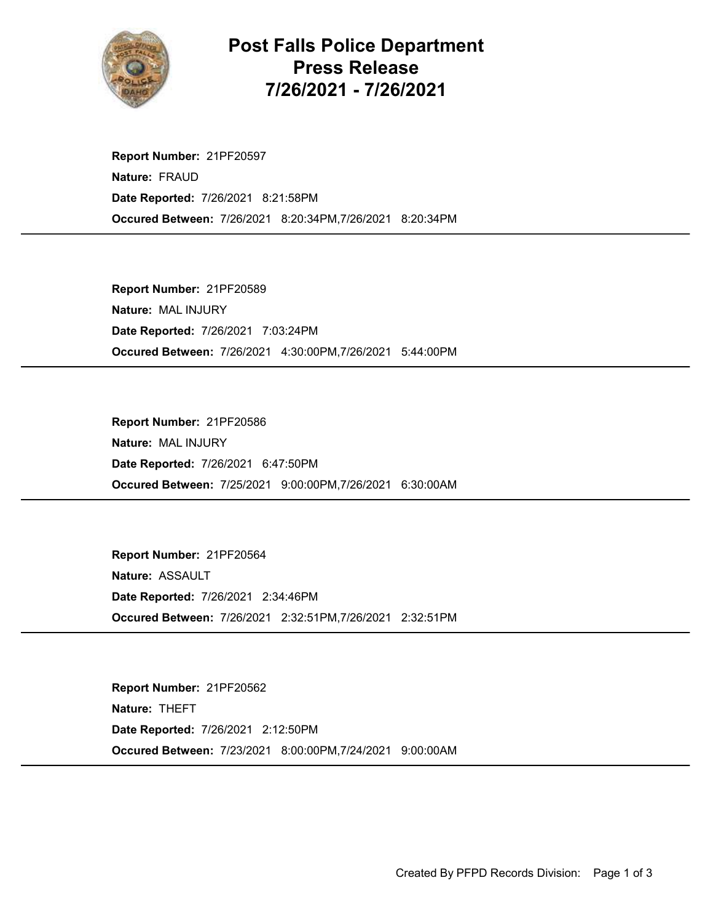

Post Falls Police Department Press Release 7/26/2021 - 7/26/2021

Occured Between: 7/26/2021 8:20:34PM,7/26/2021 8:20:34PM Report Number: 21PF20597 Nature: FRAUD Date Reported: 7/26/2021 8:21:58PM

Occured Between: 7/26/2021 4:30:00PM,7/26/2021 5:44:00PM Report Number: 21PF20589 Nature: MAL INJURY Date Reported: 7/26/2021 7:03:24PM

Occured Between: 7/25/2021 9:00:00PM,7/26/2021 6:30:00AM Report Number: 21PF20586 Nature: MAL INJURY Date Reported: 7/26/2021 6:47:50PM

Occured Between: 7/26/2021 2:32:51PM,7/26/2021 2:32:51PM Report Number: 21PF20564 Nature: ASSAULT Date Reported: 7/26/2021 2:34:46PM

Occured Between: 7/23/2021 8:00:00PM,7/24/2021 9:00:00AM Report Number: 21PF20562 Nature: THEFT Date Reported: 7/26/2021 2:12:50PM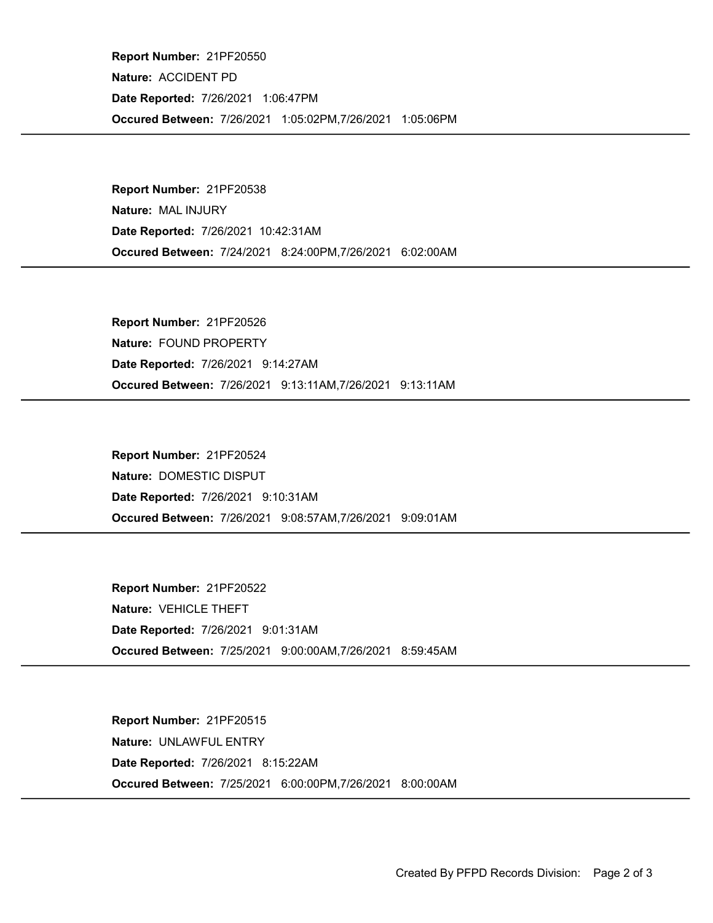Occured Between: 7/26/2021 1:05:02PM,7/26/2021 1:05:06PM Report Number: 21PF20550 Nature: ACCIDENT PD Date Reported: 7/26/2021 1:06:47PM

Occured Between: 7/24/2021 8:24:00PM,7/26/2021 6:02:00AM Report Number: 21PF20538 Nature: MAL INJURY Date Reported: 7/26/2021 10:42:31AM

Occured Between: 7/26/2021 9:13:11AM,7/26/2021 9:13:11AM Report Number: 21PF20526 Nature: FOUND PROPERTY Date Reported: 7/26/2021 9:14:27AM

Occured Between: 7/26/2021 9:08:57AM,7/26/2021 9:09:01AM Report Number: 21PF20524 Nature: DOMESTIC DISPUT Date Reported: 7/26/2021 9:10:31AM

Occured Between: 7/25/2021 9:00:00AM,7/26/2021 8:59:45AM Report Number: 21PF20522 Nature: VEHICLE THEFT Date Reported: 7/26/2021 9:01:31AM

Occured Between: 7/25/2021 6:00:00PM,7/26/2021 8:00:00AM Report Number: 21PF20515 Nature: UNLAWFUL ENTRY Date Reported: 7/26/2021 8:15:22AM